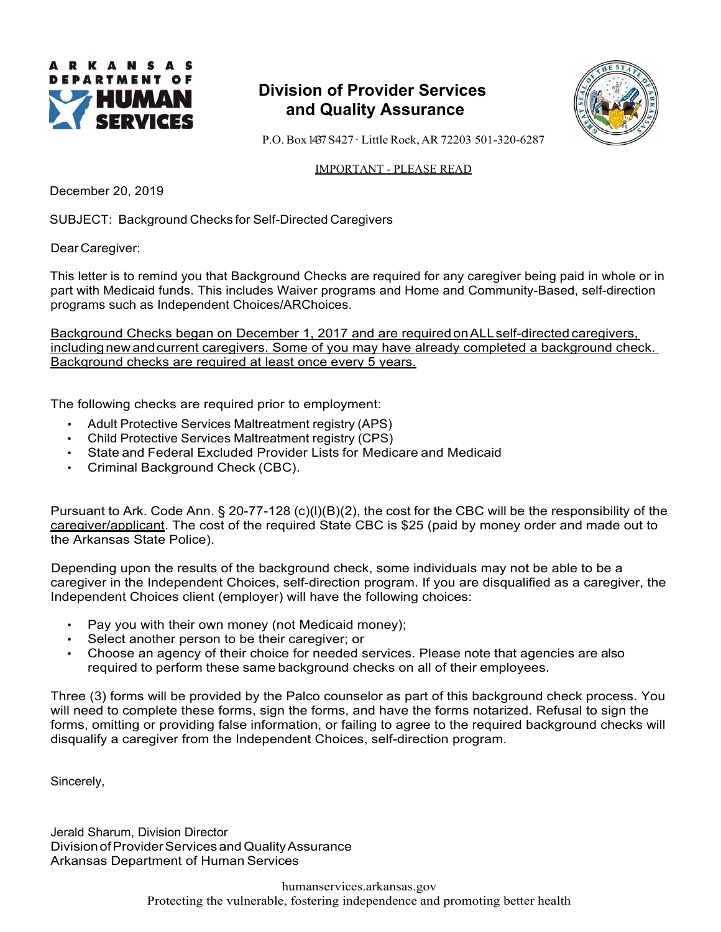

# **Division of Provider Services and Quality Assurance**



P.O. Box 1437 S427 ꞏ Little Rock, AR 72203 501-320-6287

## IMPORTANT - PLEASE READ

December 20, 2019

SUBJECT: Background Checks for Self-Directed Caregivers

Dear Caregiver:

This letter is to remind you that Background Checks are required for any caregiver being paid in whole or in part with Medicaid funds. This includes Waiver programs and Home and Community-Based, self-direction programs such as Independent Choices/ARChoices.

Background Checks began on December 1, 2017 and are required on ALL self-directed caregivers, including new and current caregivers. Some of you may have already completed a background check. Background checks are required at least once every 5 years.

The following checks are required prior to employment:

- Adult Protective Services Maltreatment registry (APS)
- Child Protective Services Maltreatment registry (CPS)
- State and Federal Excluded Provider Lists for Medicare and Medicaid
- Criminal Background Check (CBC).

Pursuant to Ark. Code Ann. § 20-77-128 (c)(l)(B)(2), the cost for the CBC will be the responsibility of the caregiver/applicant. The cost of the required State CBC is \$25 (paid by money order and made out to the Arkansas State Police).

Depending upon the results of the background check, some individuals may not be able to be a caregiver in the Independent Choices, self-direction program. If you are disqualified as a caregiver, the Independent Choices client (employer) will have the following choices:

- Pay you with their own money (not Medicaid money);
- Select another person to be their caregiver; or
- Choose an agency of their choice for needed services. Please note that agencies are also required to perform these same background checks on all of their employees.

Three (3) forms will be provided by the Palco counselor as part of this background check process. You will need to complete these forms, sign the forms, and have the forms notarized. Refusal to sign the forms, omitting or providing false information, or failing to agree to the required background checks will disqualify a caregiver from the Independent Choices, self-direction program.

Sincerely,

Jerald Sharum, Division Director Division of Provider Services and Quality Assurance Arkansas Department of Human Services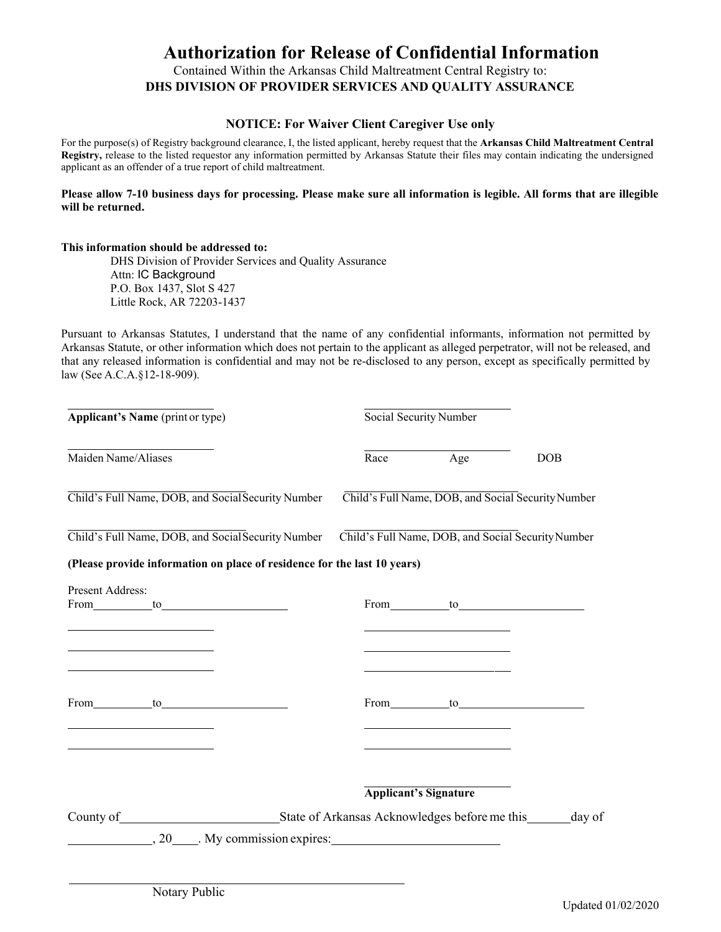# **Authorization for Release of Confidential Information**

Contained Within the Arkansas Child Maltreatment Central Registry to: **DHS DIVISION OF PROVIDER SERVICES AND QUALITY ASSURANCE** 

## **NOTICE: For Waiver Client Caregiver Use only**

For the purpose(s) of Registry background clearance, I, the listed applicant, hereby request that the **Arkansas Child Maltreatment Central Registry,** release to the listed requestor any information permitted by Arkansas Statute their files may contain indicating the undersigned applicant as an offender of a true report of child maltreatment.

### **Please allow 7-10 business days for processing. Please make sure all information is legible. All forms that are illegible will be returned.**

#### **This information should be addressed to:**

DHS Division of Provider Services and Quality Assurance Attn: IC Background P.O. Box 1437, Slot S 427 Little Rock, AR 72203-1437

Pursuant to Arkansas Statutes, I understand that the name of any confidential informants, information not permitted by Arkansas Statute, or other information which does not pertain to the applicant as alleged perpetrator, will not be released, and that any released information is confidential and may not be re-disclosed to any person, except as specifically permitted by law (See A.C.A.§12-18-909).

| Applicant's Name (print or type)                                                                                                                                                                                                                                          | Social Security Number |                                                                                                                                                                                                                                                                                                                                                    |                                                                                                                                                                                                                                |
|---------------------------------------------------------------------------------------------------------------------------------------------------------------------------------------------------------------------------------------------------------------------------|------------------------|----------------------------------------------------------------------------------------------------------------------------------------------------------------------------------------------------------------------------------------------------------------------------------------------------------------------------------------------------|--------------------------------------------------------------------------------------------------------------------------------------------------------------------------------------------------------------------------------|
| Maiden Name/Aliases                                                                                                                                                                                                                                                       |                        | Race Age                                                                                                                                                                                                                                                                                                                                           | <b>DOB</b>                                                                                                                                                                                                                     |
| Child's Full Name, DOB, and Social Security Number                                                                                                                                                                                                                        |                        |                                                                                                                                                                                                                                                                                                                                                    | Child's Full Name, DOB, and Social Security Number                                                                                                                                                                             |
| Child's Full Name, DOB, and Social Security Number                                                                                                                                                                                                                        |                        |                                                                                                                                                                                                                                                                                                                                                    | Child's Full Name, DOB, and Social Security Number                                                                                                                                                                             |
| (Please provide information on place of residence for the last 10 years)                                                                                                                                                                                                  |                        |                                                                                                                                                                                                                                                                                                                                                    |                                                                                                                                                                                                                                |
| Present Address:<br>From to to<br><u> 2008 - Andrea Andrew Maria (h. 18</u>                                                                                                                                                                                               |                        | the control of the control of the control of the control of the control of the control of                                                                                                                                                                                                                                                          | From to to the contract of the contract of the contract of the contract of the contract of the contract of the contract of the contract of the contract of the contract of the contract of the contract of the contract of the |
| the control of the control of the control of the control of<br><u> 1989 - Johann Stein, mars an deutscher Stein und der Stein und der Stein und der Stein und der Stein und der</u><br>$From \tto \t0$<br><u> 1989 - Johann Barn, fransk politik amerikansk politik (</u> |                        | the control of the control of the control of the control of<br><u> 1980 - Johann Barbara, martxa alemaniar a</u><br>From to to the contract of the contract of the contract of the contract of the contract of the contract of the contract of the contract of the contract of the contract of the contract of the contract of the contract of the |                                                                                                                                                                                                                                |
| <u> 1989 - Johann Barbara, martin da kasas a</u>                                                                                                                                                                                                                          |                        | <b>Applicant's Signature</b>                                                                                                                                                                                                                                                                                                                       |                                                                                                                                                                                                                                |
| County of State of Arkansas Acknowledges before me this day of                                                                                                                                                                                                            |                        |                                                                                                                                                                                                                                                                                                                                                    |                                                                                                                                                                                                                                |
| $\frac{1}{20}$ , 20 $\frac{1}{20}$ . My commission expires:                                                                                                                                                                                                               |                        |                                                                                                                                                                                                                                                                                                                                                    |                                                                                                                                                                                                                                |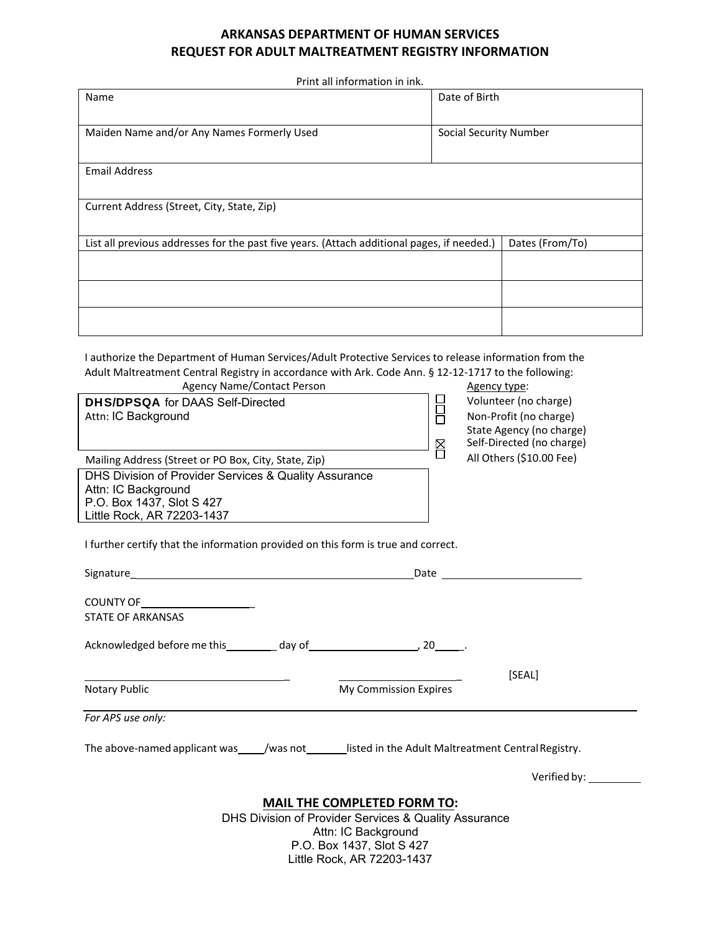## **ARKANSAS DEPARTMENT OF HUMAN SERVICES REQUEST FOR ADULT MALTREATMENT REGISTRY INFORMATION**

Print all information in ink.

| Name                                                                                                                                                                                                                                                                | Date of Birth                                   |  |  |  |
|---------------------------------------------------------------------------------------------------------------------------------------------------------------------------------------------------------------------------------------------------------------------|-------------------------------------------------|--|--|--|
| Maiden Name and/or Any Names Formerly Used                                                                                                                                                                                                                          | Social Security Number                          |  |  |  |
| <b>Email Address</b>                                                                                                                                                                                                                                                |                                                 |  |  |  |
| Current Address (Street, City, State, Zip)                                                                                                                                                                                                                          |                                                 |  |  |  |
| List all previous addresses for the past five years. (Attach additional pages, if needed.)<br>Dates (From/To)                                                                                                                                                       |                                                 |  |  |  |
|                                                                                                                                                                                                                                                                     |                                                 |  |  |  |
|                                                                                                                                                                                                                                                                     |                                                 |  |  |  |
|                                                                                                                                                                                                                                                                     |                                                 |  |  |  |
| I authorize the Department of Human Services/Adult Protective Services to release information from the<br>Adult Maltreatment Central Registry in accordance with Ark. Code Ann. § 12-12-1717 to the following:<br><b>Agency Name/Contact Person</b><br>Agency type: |                                                 |  |  |  |
| <b>DHS/DPSQA</b> for DAAS Self-Directed<br>Attn: IC Background                                                                                                                                                                                                      | Volunteer (no charge)<br>Non-Profit (no charge) |  |  |  |

Volunteer (no charge) Non‐Profit (no charge) State Agency (no charge) Self‐Directed (no charge) Mailing Address (Street or PO Box, City, State, Zip)<br>Mailing Address (Street or PO Box, City, State, Zip) All Others (\$10.00 Fee)

DHS Division of Provider Services & Quality Assurance Attn: IC Background P.O. Box 1437, Slot S 427 Little Rock, AR 72203-1437

I further certify that the information provided on this form is true and correct.

|                                                                                             | Date                                                                                       |  |  |
|---------------------------------------------------------------------------------------------|--------------------------------------------------------------------------------------------|--|--|
| COUNTY OF <u>_______________________</u><br><b>STATE OF ARKANSAS</b>                        |                                                                                            |  |  |
|                                                                                             |                                                                                            |  |  |
|                                                                                             | [SEAL]                                                                                     |  |  |
| Notary Public                                                                               | My Commission Expires                                                                      |  |  |
| For APS use only:                                                                           |                                                                                            |  |  |
|                                                                                             | The above-named applicant was //was not listed in the Adult Maltreatment Central Registry. |  |  |
|                                                                                             |                                                                                            |  |  |
| <b>MAIL THE COMPLETED FORM TO:</b><br>DHS Division of Provider Services & Quality Assurance |                                                                                            |  |  |

Attn: IC Background P.O. Box 1437, Slot S 427 Little Rock, AR 72203-1437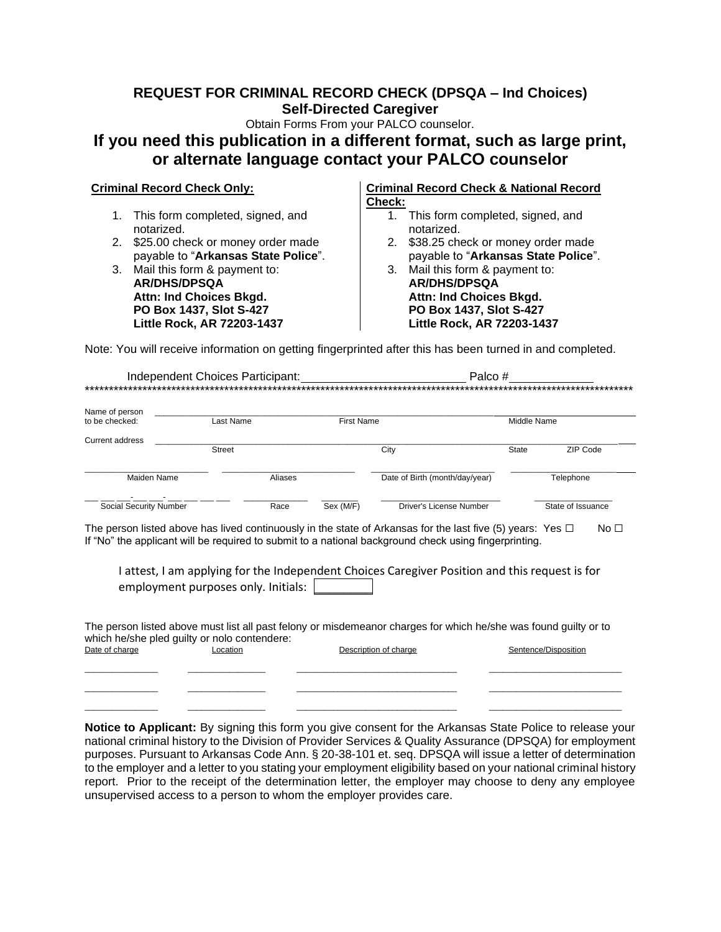## **REQUEST FOR CRIMINAL RECORD CHECK (DPSQA – Ind Choices) Self-Directed Caregiver**

Obtain Forms From your PALCO counselor.

# **If you need this publication in a different format, such as large print, or alternate language contact your PALCO counselor**

- 1. This form completed, signed, and notarized.
- 2. \$25.00 check or money order made payable to "**Arkansas State Police**".

3. Mail this form & payment to: 3. Mail this form & payment to: **AR/DHS/DPSQA Attn: Ind Choices Bkgd. PO Box 1437, Slot S-427 Little Rock, AR 72203-1437**

#### **Criminal Record Check Only: Criminal Record Check & National Record Check:**

- 1. This form completed, signed, and notarized.
- 2. \$38.25 check or money order made payable to "**Arkansas State Police**".
- **AR/DHS/DPSQA Attn: Ind Choices Bkgd. PO Box 1437, Slot S-427 Little Rock, AR 72203-1437**

Note: You will receive information on getting fingerprinted after this has been turned in and completed.

|                                  | Independent Choices Participant: |         |                   | Palco#                         |              |                   |
|----------------------------------|----------------------------------|---------|-------------------|--------------------------------|--------------|-------------------|
| Name of person<br>to be checked: | Last Name                        |         | <b>First Name</b> |                                | Middle Name  |                   |
| Current address                  | <b>Street</b>                    |         |                   | City                           | <b>State</b> | ZIP Code          |
| Maiden Name                      |                                  | Aliases |                   | Date of Birth (month/day/year) |              | Telephone         |
| Social Security Number           |                                  | Race    | Sex (M/F)         | Driver's License Number        |              | State of Issuance |

The person listed above has lived continuously in the state of Arkansas for the last five (5) years: Yes  $□$  No  $□$ If "No" the applicant will be required to submit to a national background check using fingerprinting.

I attest, I am applying for the Independent Choices Caregiver Position and this request is for employment purposes only. Initials:

The person listed above must list all past felony or misdemeanor charges for which he/she was found guilty or to which he/she pled guilty or nolo contendere:<br>Date of charge Location Description of charge  $\blacksquare$  Sentence/Disposition \_\_\_\_\_\_\_\_\_\_\_\_\_\_\_\_ \_\_\_\_\_\_\_\_\_\_\_\_\_\_\_\_\_ \_\_\_\_\_\_\_\_\_\_\_\_\_\_\_\_\_\_\_\_\_\_\_\_\_\_\_\_\_\_\_\_\_\_\_ \_\_\_\_\_\_\_\_\_\_\_\_\_\_\_\_\_\_\_\_\_\_\_\_\_\_\_\_\_

\_\_\_\_\_\_\_\_\_\_\_\_\_\_\_\_ \_\_\_\_\_\_\_\_\_\_\_\_\_\_\_\_\_ \_\_\_\_\_\_\_\_\_\_\_\_\_\_\_\_\_\_\_\_\_\_\_\_\_\_\_\_\_\_\_\_\_\_\_ \_\_\_\_\_\_\_\_\_\_\_\_\_\_\_\_\_\_\_\_\_\_\_\_\_\_\_\_\_ \_\_\_\_\_\_\_\_\_\_\_\_\_\_\_\_ \_\_\_\_\_\_\_\_\_\_\_\_\_\_\_\_\_ \_\_\_\_\_\_\_\_\_\_\_\_\_\_\_\_\_\_\_\_\_\_\_\_\_\_\_\_\_\_\_\_\_\_\_ \_\_\_\_\_\_\_\_\_\_\_\_\_\_\_\_\_\_\_\_\_\_\_\_\_\_\_\_\_

**Notice to Applicant:** By signing this form you give consent for the Arkansas State Police to release your national criminal history to the Division of Provider Services & Quality Assurance (DPSQA) for employment purposes. Pursuant to Arkansas Code Ann. § 20-38-101 et. seq. DPSQA will issue a letter of determination to the employer and a letter to you stating your employment eligibility based on your national criminal history report. Prior to the receipt of the determination letter, the employer may choose to deny any employee unsupervised access to a person to whom the employer provides care.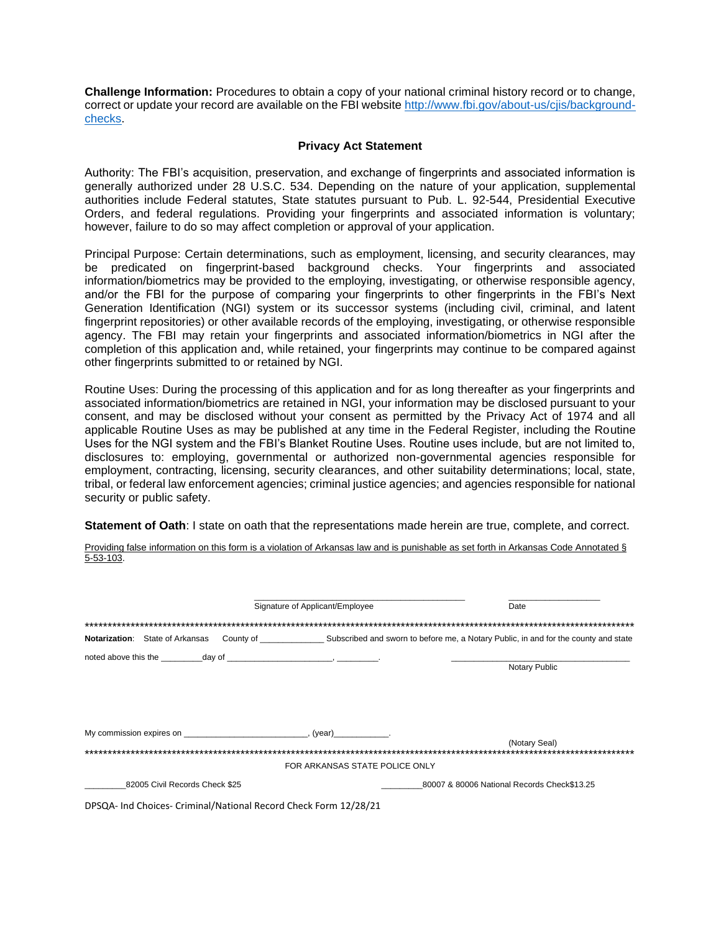**Challenge Information:** Procedures to obtain a copy of your national criminal history record or to change, correct or update your record are available on the FBI website [http://www.fbi.gov/about-us/cjis/background](http://www.fbi.gov/about-us/cjis/background-checks)[checks.](http://www.fbi.gov/about-us/cjis/background-checks)

## **Privacy Act Statement**

Authority: The FBI's acquisition, preservation, and exchange of fingerprints and associated information is generally authorized under 28 U.S.C. 534. Depending on the nature of your application, supplemental authorities include Federal statutes, State statutes pursuant to Pub. L. 92-544, Presidential Executive Orders, and federal regulations. Providing your fingerprints and associated information is voluntary; however, failure to do so may affect completion or approval of your application.

Principal Purpose: Certain determinations, such as employment, licensing, and security clearances, may be predicated on fingerprint-based background checks. Your fingerprints and associated information/biometrics may be provided to the employing, investigating, or otherwise responsible agency, and/or the FBI for the purpose of comparing your fingerprints to other fingerprints in the FBI's Next Generation Identification (NGI) system or its successor systems (including civil, criminal, and latent fingerprint repositories) or other available records of the employing, investigating, or otherwise responsible agency. The FBI may retain your fingerprints and associated information/biometrics in NGI after the completion of this application and, while retained, your fingerprints may continue to be compared against other fingerprints submitted to or retained by NGI.

Routine Uses: During the processing of this application and for as long thereafter as your fingerprints and associated information/biometrics are retained in NGI, your information may be disclosed pursuant to your consent, and may be disclosed without your consent as permitted by the Privacy Act of 1974 and all applicable Routine Uses as may be published at any time in the Federal Register, including the Routine Uses for the NGI system and the FBI's Blanket Routine Uses. Routine uses include, but are not limited to, disclosures to: employing, governmental or authorized non-governmental agencies responsible for employment, contracting, licensing, security clearances, and other suitability determinations; local, state, tribal, or federal law enforcement agencies; criminal justice agencies; and agencies responsible for national security or public safety.

**Statement of Oath**: I state on oath that the representations made herein are true, complete, and correct.

Providing false information on this form is a violation of Arkansas law and is punishable as set forth in Arkansas Code Annotated § 5-53-103.

|                                                                  | Signature of Applicant/Employee | Date                                        |
|------------------------------------------------------------------|---------------------------------|---------------------------------------------|
|                                                                  |                                 |                                             |
|                                                                  |                                 |                                             |
|                                                                  |                                 |                                             |
|                                                                  |                                 | <b>Notary Public</b>                        |
|                                                                  |                                 |                                             |
|                                                                  |                                 |                                             |
|                                                                  |                                 |                                             |
|                                                                  |                                 |                                             |
|                                                                  |                                 | (Notary Seal)                               |
|                                                                  | FOR ARKANSAS STATE POLICE ONLY  |                                             |
| 82005 Civil Records Check \$25                                   |                                 | 80007 & 80006 National Records Check\$13.25 |
| DPSQA- Ind Choices- Criminal/National Record Check Form 12/28/21 |                                 |                                             |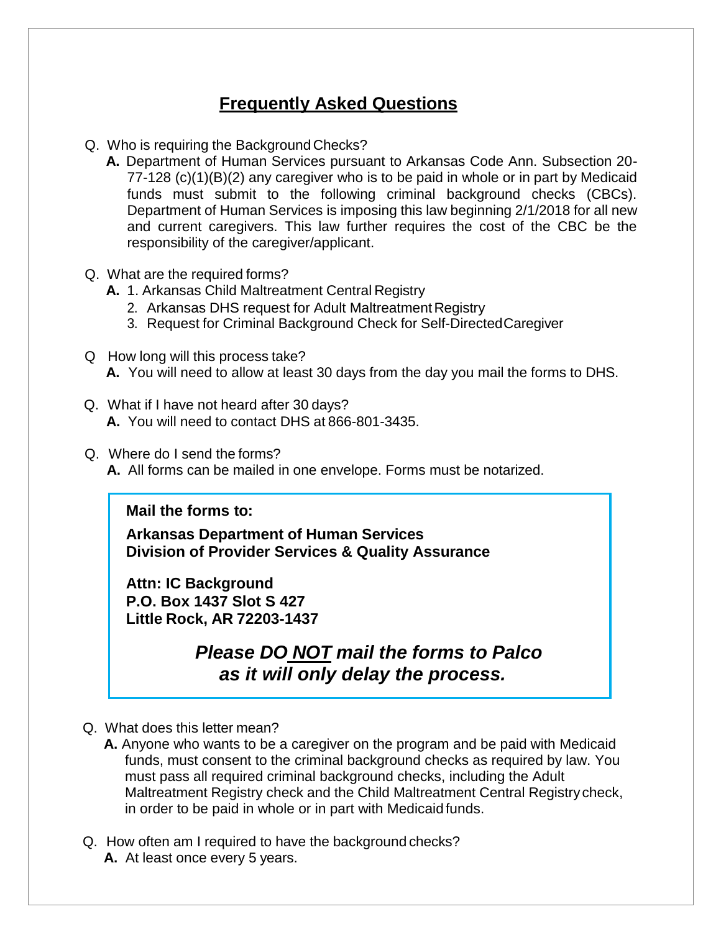# **Frequently Asked Questions**

- Q. Who is requiring the Background Checks?
	- **A.** Department of Human Services pursuant to Arkansas Code Ann. Subsection 20- 77-128 (c)(1)(B)(2) any caregiver who is to be paid in whole or in part by Medicaid funds must submit to the following criminal background checks (CBCs). Department of Human Services is imposing this law beginning 2/1/2018 for all new and current caregivers. This law further requires the cost of the CBC be the responsibility of the caregiver/applicant.
- Q. What are the required forms?
	- **A.** 1. Arkansas Child Maltreatment Central Registry
		- 2. Arkansas DHS request for Adult Maltreatment Registry
		- 3. Request for Criminal Background Check for Self-DirectedCaregiver
- Q How long will this process take? **A.** You will need to allow at least 30 days from the day you mail the forms to DHS.
- Q. What if I have not heard after 30 days? **A.** You will need to contact DHS at 866-801-3435.
- Q. Where do I send the forms?
	- **A.** All forms can be mailed in one envelope. Forms must be notarized.

## **Mail the forms to:**

**Arkansas Department of Human Services Division of Provider Services & Quality Assurance**

**Attn: IC Background P.O. Box 1437 Slot S 427 Little Rock, AR 72203-1437**

> *Please DO NOT mail the forms to Palco as it will only delay the process.*

- Q. What does this letter mean?
	- **A.** Anyone who wants to be a caregiver on the program and be paid with Medicaid funds, must consent to the criminal background checks as required by law. You must pass all required criminal background checks, including the Adult Maltreatment Registry check and the Child Maltreatment Central Registrycheck, in order to be paid in whole or in part with Medicaid funds.
- Q. How often am I required to have the background checks? **A.** At least once every 5 years.